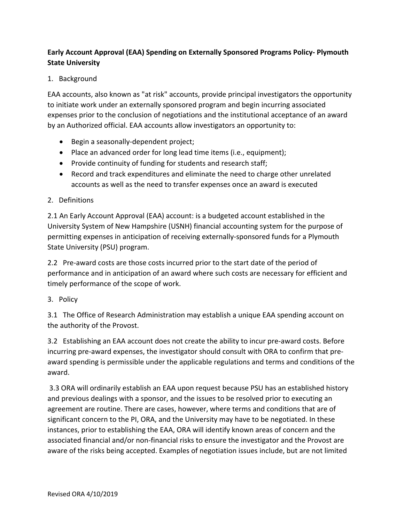## **Early Account Approval (EAA) Spending on Externally Sponsored Programs Policy‐ Plymouth State University**

## 1. Background

EAA accounts, also known as "at risk" accounts, provide principal investigators the opportunity to initiate work under an externally sponsored program and begin incurring associated expenses prior to the conclusion of negotiations and the institutional acceptance of an award by an Authorized official. EAA accounts allow investigators an opportunity to:

- Begin a seasonally-dependent project;
- Place an advanced order for long lead time items (i.e., equipment);
- Provide continuity of funding for students and research staff;
- Record and track expenditures and eliminate the need to charge other unrelated accounts as well as the need to transfer expenses once an award is executed

## 2. Definitions

2.1 An Early Account Approval (EAA) account: is a budgeted account established in the University System of New Hampshire (USNH) financial accounting system for the purpose of permitting expenses in anticipation of receiving externally‐sponsored funds for a Plymouth State University (PSU) program.

2.2 Pre-award costs are those costs incurred prior to the start date of the period of performance and in anticipation of an award where such costs are necessary for efficient and timely performance of the scope of work.

3. Policy

3.1 The Office of Research Administration may establish a unique EAA spending account on the authority of the Provost.

3.2 Establishing an EAA account does not create the ability to incur pre‐award costs. Before incurring pre‐award expenses, the investigator should consult with ORA to confirm that pre‐ award spending is permissible under the applicable regulations and terms and conditions of the award.

 3.3 ORA will ordinarily establish an EAA upon request because PSU has an established history and previous dealings with a sponsor, and the issues to be resolved prior to executing an agreement are routine. There are cases, however, where terms and conditions that are of significant concern to the PI, ORA, and the University may have to be negotiated. In these instances, prior to establishing the EAA, ORA will identify known areas of concern and the associated financial and/or non‐financial risks to ensure the investigator and the Provost are aware of the risks being accepted. Examples of negotiation issues include, but are not limited